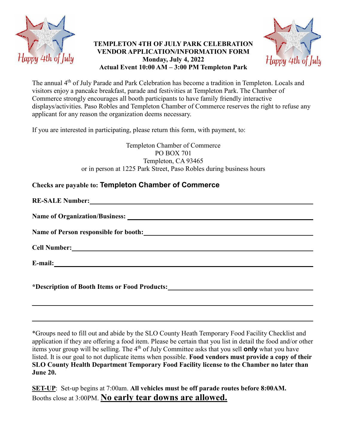

## **TEMPLETON 4TH OF JULY PARK CELEBRATION VENDOR APPLICATION/INFORMATION FORM Monday, July 4, 2022 Actual Event 10:00 AM – 3:00 PM Templeton Park**



The annual 4<sup>th</sup> of July Parade and Park Celebration has become a tradition in Templeton. Locals and visitors enjoy a pancake breakfast, parade and festivities at Templeton Park. The Chamber of Commerce strongly encourages all booth participants to have family friendly interactive displays/activities. Paso Robles and Templeton Chamber of Commerce reserves the right to refuse any applicant for any reason the organization deems necessary.

If you are interested in participating, please return this form, with payment, to:

Templeton Chamber of Commerce PO BOX 701 Templeton, CA 93465 or in person at 1225 Park Street, Paso Robles during business hours

**Checks are payable to: Templeton Chamber of Commerce**

| *Description of Booth Items or Food Products:___________________________________ |
|----------------------------------------------------------------------------------|

\*Groups need to fill out and abide by the SLO County Heath Temporary Food Facility Checklist and application if they are offering a food item. Please be certain that you list in detail the food and/or other items your group will be selling. The 4<sup>th</sup> of July Committee asks that you sell **only** what you have listed. It is our goal to not duplicate items when possible. **Food vendors must provide a copy of their SLO County Health Department Temporary Food Facility license to the Chamber no later than June 20.**

**SET-UP**: Set-up begins at 7:00am. **All vehicles must be off parade routes before 8:00AM.** Booths close at 3:00PM. **No early tear downs are allowed.**